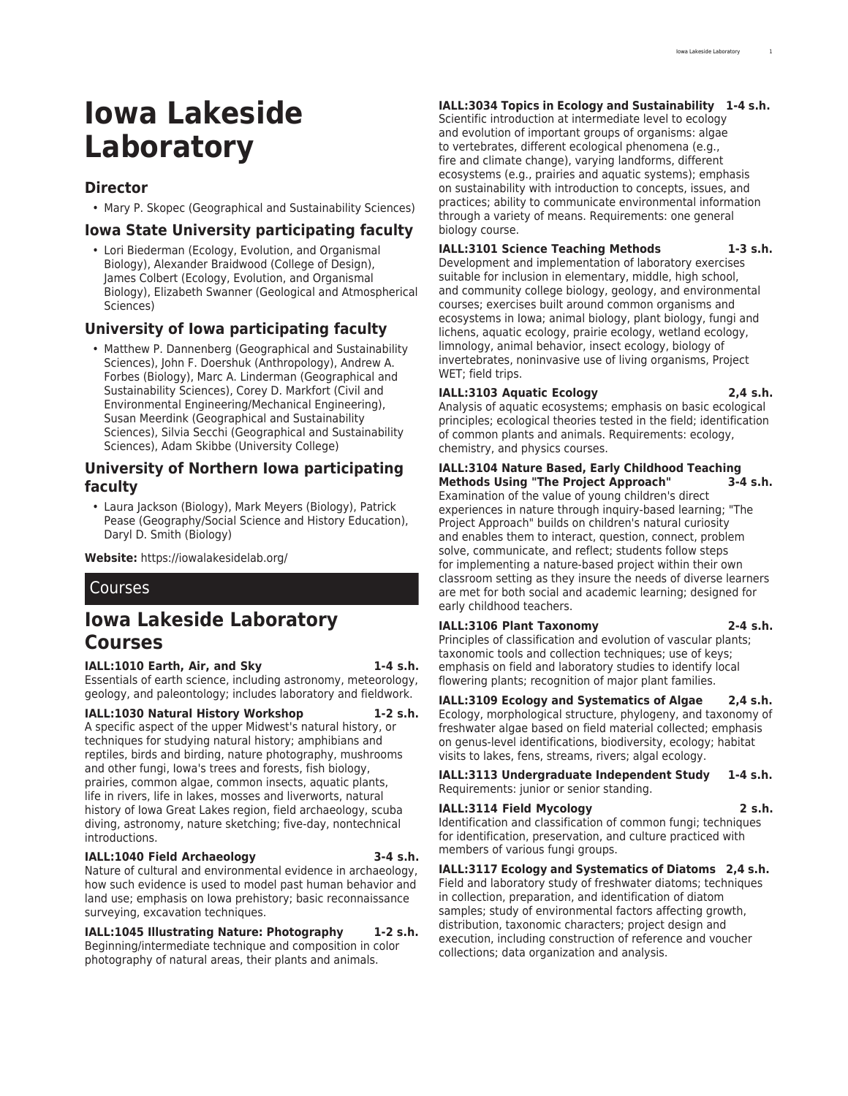# **Iowa Lakeside Laboratory**

# **Director**

• Mary P. Skopec (Geographical and Sustainability Sciences)

## **Iowa State University participating faculty**

• Lori Biederman (Ecology, Evolution, and Organismal Biology), Alexander Braidwood (College of Design), James Colbert (Ecology, Evolution, and Organismal Biology), Elizabeth Swanner (Geological and Atmospherical Sciences)

# **University of Iowa participating faculty**

• Matthew P. Dannenberg (Geographical and Sustainability Sciences), John F. Doershuk (Anthropology), Andrew A. Forbes (Biology), Marc A. Linderman (Geographical and Sustainability Sciences), Corey D. Markfort (Civil and Environmental Engineering/Mechanical Engineering), Susan Meerdink (Geographical and Sustainability Sciences), Silvia Secchi (Geographical and Sustainability Sciences), Adam Skibbe (University College)

### **University of Northern Iowa participating faculty**

• Laura Jackson (Biology), Mark Meyers (Biology), Patrick Pease (Geography/Social Science and History Education), Daryl D. Smith (Biology)

**Website:** <https://iowalakesidelab.org/>

# Courses

# **Iowa Lakeside Laboratory Courses**

#### **IALL:1010 Earth, Air, and Sky 1-4 s.h.**

Essentials of earth science, including astronomy, meteorology, geology, and paleontology; includes laboratory and fieldwork.

#### **IALL:1030 Natural History Workshop 1-2 s.h.**

A specific aspect of the upper Midwest's natural history, or techniques for studying natural history; amphibians and reptiles, birds and birding, nature photography, mushrooms and other fungi, Iowa's trees and forests, fish biology, prairies, common algae, common insects, aquatic plants, life in rivers, life in lakes, mosses and liverworts, natural history of Iowa Great Lakes region, field archaeology, scuba diving, astronomy, nature sketching; five-day, nontechnical introductions.

#### **IALL:1040 Field Archaeology 3-4 s.h.**

Nature of cultural and environmental evidence in archaeology, how such evidence is used to model past human behavior and land use; emphasis on Iowa prehistory; basic reconnaissance surveying, excavation techniques.

**IALL:1045 Illustrating Nature: Photography 1-2 s.h.** Beginning/intermediate technique and composition in color photography of natural areas, their plants and animals.

#### **IALL:3034 Topics in Ecology and Sustainability 1-4 s.h.**

Scientific introduction at intermediate level to ecology and evolution of important groups of organisms: algae to vertebrates, different ecological phenomena (e.g., fire and climate change), varying landforms, different ecosystems (e.g., prairies and aquatic systems); emphasis on sustainability with introduction to concepts, issues, and practices; ability to communicate environmental information through a variety of means. Requirements: one general biology course.

#### **IALL:3101 Science Teaching Methods 1-3 s.h.**

Development and implementation of laboratory exercises suitable for inclusion in elementary, middle, high school, and community college biology, geology, and environmental courses; exercises built around common organisms and ecosystems in Iowa; animal biology, plant biology, fungi and lichens, aquatic ecology, prairie ecology, wetland ecology, limnology, animal behavior, insect ecology, biology of invertebrates, noninvasive use of living organisms, Project WET; field trips.

#### **IALL:3103 Aquatic Ecology 2,4 s.h.**

Analysis of aquatic ecosystems; emphasis on basic ecological principles; ecological theories tested in the field; identification of common plants and animals. Requirements: ecology, chemistry, and physics courses.

#### **IALL:3104 Nature Based, Early Childhood Teaching Methods Using "The Project Approach" 3-4 s.h.**

Examination of the value of young children's direct experiences in nature through inquiry-based learning; "The Project Approach" builds on children's natural curiosity and enables them to interact, question, connect, problem solve, communicate, and reflect; students follow steps for implementing a nature-based project within their own classroom setting as they insure the needs of diverse learners are met for both social and academic learning; designed for early childhood teachers.

#### **IALL:3106 Plant Taxonomy 2-4 s.h.**

Principles of classification and evolution of vascular plants; taxonomic tools and collection techniques; use of keys; emphasis on field and laboratory studies to identify local flowering plants; recognition of major plant families.

**IALL:3109 Ecology and Systematics of Algae 2,4 s.h.** Ecology, morphological structure, phylogeny, and taxonomy of freshwater algae based on field material collected; emphasis on genus-level identifications, biodiversity, ecology; habitat visits to lakes, fens, streams, rivers; algal ecology.

**IALL:3113 Undergraduate Independent Study 1-4 s.h.** Requirements: junior or senior standing.

#### **IALL:3114 Field Mycology 2 s.h.**

Identification and classification of common fungi; techniques for identification, preservation, and culture practiced with members of various fungi groups.

**IALL:3117 Ecology and Systematics of Diatoms 2,4 s.h.** Field and laboratory study of freshwater diatoms; techniques in collection, preparation, and identification of diatom samples; study of environmental factors affecting growth, distribution, taxonomic characters; project design and execution, including construction of reference and voucher collections; data organization and analysis.